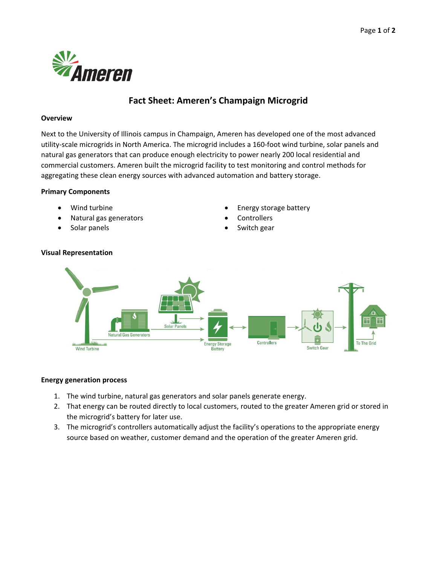

# **Fact Sheet: Ameren's Champaign Microgrid**

#### **Overview**

Next to the University of Illinois campus in Champaign, Ameren has developed one of the most advanced utility‐scale microgrids in North America. The microgrid includes a 160‐foot wind turbine, solar panels and natural gas generators that can produce enough electricity to power nearly 200 local residential and commercial customers. Ameren built the microgrid facility to test monitoring and control methods for aggregating these clean energy sources with advanced automation and battery storage.

# **Primary Components**

- 
- Natural gas generators **Controllers Controllers**
- 
- Wind turbine **Energy storage battery** 
	-
	- Solar panels **Solar panels Switch gear CO**



#### **Energy generation process**

- 1. The wind turbine, natural gas generators and solar panels generate energy.
- 2. That energy can be routed directly to local customers, routed to the greater Ameren grid or stored in the microgrid's battery for later use.
- 3. The microgrid's controllers automatically adjust the facility's operations to the appropriate energy source based on weather, customer demand and the operation of the greater Ameren grid.

# **Visual Representation**